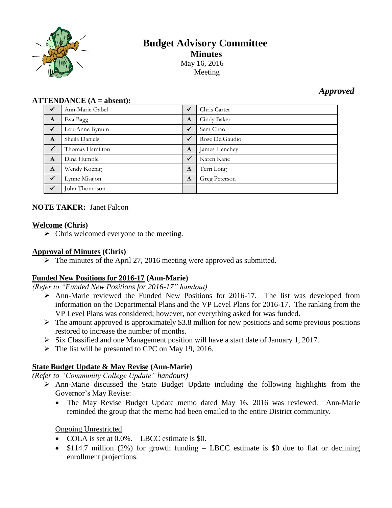

# **Budget Advisory Committee Minutes** May 16, 2016

Meeting

# *Approved*

#### **ATTENDANCE (A = absent):**

| $\checkmark$ | Ann-Marie Gabel | $\checkmark$ | Chris Carter   |
|--------------|-----------------|--------------|----------------|
| $\mathbf{A}$ | Eva Bagg        | $\mathbf{A}$ | Cindy Baker    |
| $\sqrt{}$    | Lou Anne Bynum  | $\checkmark$ | Sem Chao       |
| $\mathbf{A}$ | Sheila Daniels  | $\checkmark$ | Rose DelGaudio |
| $\sqrt{}$    | Thomas Hamilton | $\mathbf{A}$ | James Henchey  |
| $\mathbf{A}$ | Dina Humble     | $\checkmark$ | Karen Kane     |
| $\mathbf{A}$ | Wendy Koenig    | $\mathbf{A}$ | Terri Long     |
| $\checkmark$ | Lynne Misajon   | $\mathbf{A}$ | Greg Peterson  |
| $\checkmark$ | John Thompson   |              |                |

# **NOTE TAKER:** Janet Falcon

#### **Welcome (Chris)**

 $\triangleright$  Chris welcomed everyone to the meeting.

### **Approval of Minutes (Chris)**

 $\triangleright$  The minutes of the April 27, 2016 meeting were approved as submitted.

# **Funded New Positions for 2016-17 (Ann-Marie)**

*(Refer to "Funded New Positions for 2016-17" handout)*

- Ann-Marie reviewed the Funded New Positions for 2016-17. The list was developed from information on the Departmental Plans and the VP Level Plans for 2016-17. The ranking from the VP Level Plans was considered; however, not everything asked for was funded.
- $\triangleright$  The amount approved is approximately \$3.8 million for new positions and some previous positions restored to increase the number of months.
- $\triangleright$  Six Classified and one Management position will have a start date of January 1, 2017.
- $\triangleright$  The list will be presented to CPC on May 19, 2016.

# **State Budget Update & May Revise (Ann-Marie)**

*(Refer to "Community College Update" handouts)*

- $\triangleright$  Ann-Marie discussed the State Budget Update including the following highlights from the Governor's May Revise:
	- The May Revise Budget Update memo dated May 16, 2016 was reviewed. Ann-Marie reminded the group that the memo had been emailed to the entire District community.

#### Ongoing Unrestricted

- COLA is set at  $0.0\%$ . LBCC estimate is \$0.
- $\bullet$  \$114.7 million (2%) for growth funding LBCC estimate is \$0 due to flat or declining enrollment projections.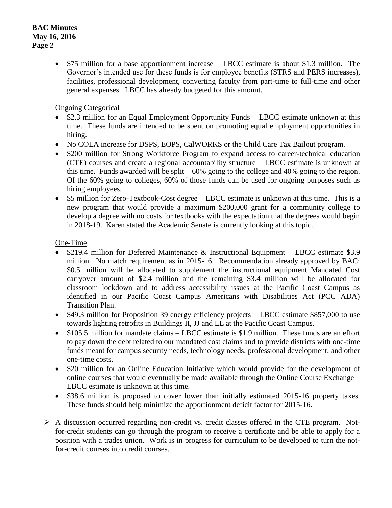### **BAC Minutes May 16, 2016 Page 2**

• \$75 million for a base apportionment increase – LBCC estimate is about \$1.3 million. The Governor's intended use for these funds is for employee benefits (STRS and PERS increases), facilities, professional development, converting faculty from part-time to full-time and other general expenses. LBCC has already budgeted for this amount.

Ongoing Categorical

- \$2.3 million for an Equal Employment Opportunity Funds LBCC estimate unknown at this time. These funds are intended to be spent on promoting equal employment opportunities in hiring.
- No COLA increase for DSPS, EOPS, CalWORKS or the Child Care Tax Bailout program.
- \$200 million for Strong Workforce Program to expand access to career-technical education (CTE) courses and create a regional accountability structure – LBCC estimate is unknown at this time. Funds awarded will be split  $-60\%$  going to the college and 40% going to the region. Of the 60% going to colleges, 60% of those funds can be used for ongoing purposes such as hiring employees.
- \$5 million for Zero-Textbook-Cost degree LBCC estimate is unknown at this time. This is a new program that would provide a maximum \$200,000 grant for a community college to develop a degree with no costs for textbooks with the expectation that the degrees would begin in 2018-19. Karen stated the Academic Senate is currently looking at this topic.

# One-Time

- \$219.4 million for Deferred Maintenance & Instructional Equipment LBCC estimate \$3.9 million. No match requirement as in 2015-16. Recommendation already approved by BAC: \$0.5 million will be allocated to supplement the instructional equipment Mandated Cost carryover amount of \$2.4 million and the remaining \$3.4 million will be allocated for classroom lockdown and to address accessibility issues at the Pacific Coast Campus as identified in our Pacific Coast Campus Americans with Disabilities Act (PCC ADA) Transition Plan.
- \$49.3 million for Proposition 39 energy efficiency projects LBCC estimate \$857,000 to use towards lighting retrofits in Buildings II, JJ and LL at the Pacific Coast Campus.
- \$105.5 million for mandate claims LBCC estimate is \$1.9 million. These funds are an effort to pay down the debt related to our mandated cost claims and to provide districts with one-time funds meant for campus security needs, technology needs, professional development, and other one-time costs.
- \$20 million for an Online Education Initiative which would provide for the development of online courses that would eventually be made available through the Online Course Exchange – LBCC estimate is unknown at this time.
- \$38.6 million is proposed to cover lower than initially estimated 2015-16 property taxes. These funds should help minimize the apportionment deficit factor for 2015-16.
- A discussion occurred regarding non-credit vs. credit classes offered in the CTE program. Notfor-credit students can go through the program to receive a certificate and be able to apply for a position with a trades union. Work is in progress for curriculum to be developed to turn the notfor-credit courses into credit courses.